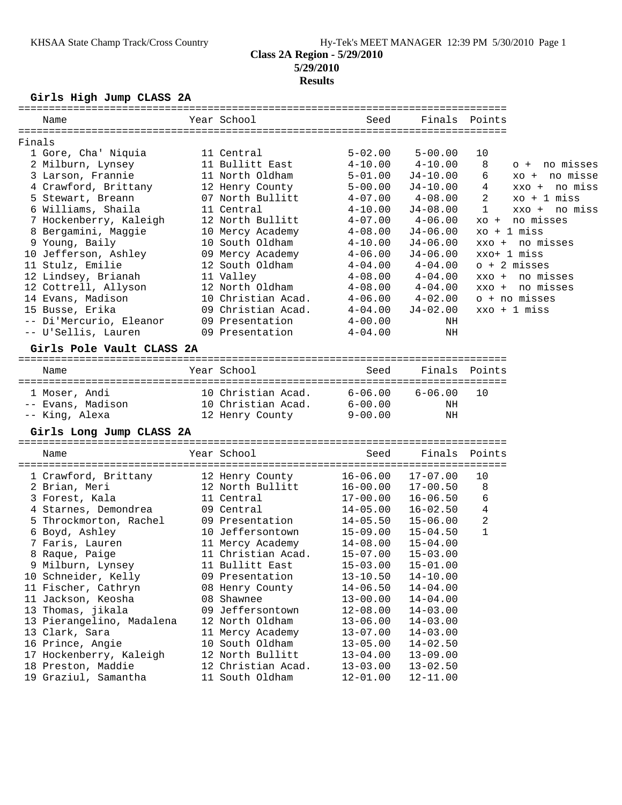# **Girls High Jump CLASS 2A**

| Name                      | Year School        | Seed         |              | Finals Points |                    |
|---------------------------|--------------------|--------------|--------------|---------------|--------------------|
| Finals                    |                    |              |              |               |                    |
| 1 Gore, Cha' Niquia       | 11 Central         | $5 - 02.00$  | $5 - 00.00$  | 10            |                    |
| 2 Milburn, Lynsey         | 11 Bullitt East    | $4 - 10.00$  | $4 - 10.00$  | 8             | no misses<br>$O +$ |
| 3 Larson, Frannie         | 11 North Oldham    | $5 - 01.00$  | $J4 - 10.00$ | 6             | xo + no misse      |
| 4 Crawford, Brittany      | 12 Henry County    | $5 - 00.00$  | $J4-10.00$   | 4             | xxo + no miss      |
| 5 Stewart, Breann         | 07 North Bullitt   | $4 - 07.00$  | $4 - 08.00$  | 2             | $xo + 1$ miss      |
| 6 Williams, Shaila        | 11 Central         | $4 - 10.00$  | $J4 - 08.00$ | $\mathbf 1$   | xxo + no miss      |
| 7 Hockenberry, Kaleigh    | 12 North Bullitt   | $4 - 07.00$  | $4 - 06.00$  | $XO +$        | no misses          |
| 8 Bergamini, Maggie       | 10 Mercy Academy   | $4 - 08.00$  | $J4 - 06.00$ |               | $xo + 1 miss$      |
| 9 Young, Baily            | 10 South Oldham    | $4 - 10.00$  | $J4 - 06.00$ |               | $xxo + no$ misses  |
| 10 Jefferson, Ashley      | 09 Mercy Academy   | $4 - 06.00$  | $J4-06.00$   |               | xxo+ 1 miss        |
| 11 Stulz, Emilie          | 12 South Oldham    | $4 - 04.00$  | $4 - 04.00$  |               | $o + 2$ misses     |
| 12 Lindsey, Brianah       | 11 Valley          | $4 - 08.00$  | $4 - 04.00$  | $XXO +$       | no misses          |
| 12 Cottrell, Allyson      | 12 North Oldham    | $4 - 08.00$  | $4 - 04.00$  | XXO +         | no misses          |
| 14 Evans, Madison         | 10 Christian Acad. | $4 - 06.00$  | $4 - 02.00$  |               | o + no misses      |
| 15 Busse, Erika           | 09 Christian Acad. | $4 - 04.00$  | $J4 - 02.00$ |               | $xxo + 1$ miss     |
| -- Di'Mercurio, Eleanor   | 09 Presentation    | $4 - 00.00$  | ΝH           |               |                    |
| -- U'Sellis, Lauren       | 09 Presentation    | $4 - 04.00$  | ΝH           |               |                    |
|                           |                    |              |              |               |                    |
| Girls Pole Vault CLASS 2A |                    |              |              |               |                    |
| Name                      | Year School        | Seed         | Finals       | Points        |                    |
| 1 Moser, Andi             | 10 Christian Acad. | $6 - 06.00$  | $6 - 06.00$  | 10            |                    |
| -- Evans, Madison         | 10 Christian Acad. | $6-00.00$    | ΝH           |               |                    |
| -- King, Alexa            | 12 Henry County    | $9 - 00.00$  | NH           |               |                    |
| Girls Long Jump CLASS 2A  |                    |              |              |               |                    |
| Name                      | Year School        | Seed         | Finals       | Points        |                    |
|                           |                    |              |              |               |                    |
| 1 Crawford, Brittany      | 12 Henry County    | $16 - 06.00$ | $17 - 07.00$ | 10            |                    |
| 2 Brian, Meri             | 12 North Bullitt   | $16 - 00.00$ | $17 - 00.50$ | 8             |                    |
| 3 Forest, Kala            | 11 Central         | $17 - 00.00$ | $16 - 06.50$ | 6             |                    |
| 4 Starnes, Demondrea      | 09 Central         | $14 - 05.00$ | $16 - 02.50$ | 4             |                    |
| 5 Throckmorton, Rachel    | 09 Presentation    | $14 - 05.50$ | $15 - 06.00$ | 2             |                    |
| 6 Boyd, Ashley            | 10 Jeffersontown   | $15 - 09.00$ | $15 - 04.50$ | 1             |                    |
| 7 Faris, Lauren           | 11 Mercy Academy   | $14 - 08.00$ | $15 - 04.00$ |               |                    |
| 8 Raque, Paige            | 11 Christian Acad. | $15 - 07.00$ | $15 - 03.00$ |               |                    |
| 9 Milburn, Lynsey         | 11 Bullitt East    | $15 - 03.00$ | $15 - 01.00$ |               |                    |
| 10 Schneider, Kelly       | 09 Presentation    | $13 - 10.50$ | $14 - 10.00$ |               |                    |
| 11 Fischer, Cathryn       | 08 Henry County    | $14 - 06.50$ | $14 - 04.00$ |               |                    |
| 11 Jackson, Keosha        | 08 Shawnee         | $13 - 00.00$ | $14 - 04.00$ |               |                    |
| 13 Thomas, jikala         | 09 Jeffersontown   | $12 - 08.00$ | $14 - 03.00$ |               |                    |
| 13 Pierangelino, Madalena | 12 North Oldham    | $13 - 06.00$ | $14 - 03.00$ |               |                    |
| 13 Clark, Sara            | 11 Mercy Academy   | $13 - 07.00$ | $14 - 03.00$ |               |                    |
| 16 Prince, Angie          | 10 South Oldham    | $13 - 05.00$ | $14 - 02.50$ |               |                    |
| 17 Hockenberry, Kaleigh   | 12 North Bullitt   | $13 - 04.00$ | $13 - 09.00$ |               |                    |
| 18 Preston, Maddie        | 12 Christian Acad. | $13 - 03.00$ | $13 - 02.50$ |               |                    |
| 19 Graziul, Samantha      | 11 South Oldham    | $12 - 01.00$ | $12 - 11.00$ |               |                    |
|                           |                    |              |              |               |                    |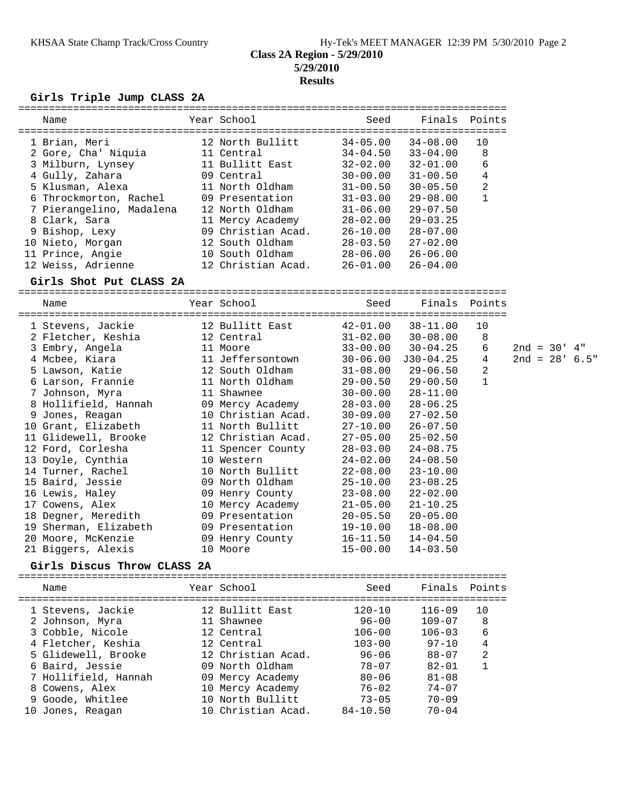#### **Girls Triple Jump CLASS 2A**

| Name                     | Year School        | Seed         | Finals       | Points         |
|--------------------------|--------------------|--------------|--------------|----------------|
| 1 Brian, Meri            | 12 North Bullitt   | $34 - 05.00$ | $34 - 08.00$ | 10             |
| 2 Gore, Cha' Niquia      | 11 Central         | $34 - 04.50$ | $33 - 04.00$ | 8              |
| 3 Milburn, Lynsey        | 11 Bullitt East    | $32 - 02.00$ | $32 - 01.00$ | 6              |
| 4 Gully, Zahara          | 09 Central         | $30 - 00.00$ | $31 - 00.50$ | 4              |
| 5 Klusman, Alexa         | 11 North Oldham    | $31 - 00.50$ | $30 - 05.50$ | $\overline{2}$ |
| 6 Throckmorton, Rachel   | 09 Presentation    | $31 - 03.00$ | $29 - 08.00$ |                |
| 7 Pierangelino, Madalena | 12 North Oldham    | $31 - 06.00$ | $29 - 07.50$ |                |
| 8 Clark, Sara            | 11 Mercy Academy   | $28 - 02.00$ | $29 - 03.25$ |                |
| 9 Bishop, Lexy           | 09 Christian Acad. | $26 - 10.00$ | $28 - 07.00$ |                |
| 10 Nieto, Morgan         | 12 South Oldham    | $28 - 03.50$ | $27 - 02.00$ |                |
| 11 Prince, Angie         | 10 South Oldham    | $28 - 06.00$ | $26 - 06.00$ |                |
| 12 Weiss, Adrienne       | 12 Christian Acad. | $26 - 01.00$ | $26 - 04.00$ |                |
|                          |                    |              |              |                |

#### **Girls Shot Put CLASS 2A**

| GIIIS SHOL PUL CLASS ZA |                    |              |               |                |                   |  |
|-------------------------|--------------------|--------------|---------------|----------------|-------------------|--|
| Name                    | Year School        | Seed         | Finals Points |                |                   |  |
| 1 Stevens, Jackie       | 12 Bullitt East    | 42-01.00     | 38-11.00      | 10             |                   |  |
| 2 Fletcher, Keshia      | 12 Central         | 31-02.00     | 30-08.00      | 8              |                   |  |
| 3 Embry, Angela         | 11 Moore           | $33 - 00.00$ | 30-04.25      | 6              | $2nd = 30' 4"$    |  |
| 4 Mcbee, Kiara          | 11 Jeffersontown   | $30 - 06.00$ | $J30-04.25$   | 4              | $2nd = 28' 6.5''$ |  |
| 5 Lawson, Katie         | 12 South Oldham    | $31 - 08.00$ | $29 - 06.50$  | $\overline{2}$ |                   |  |
| 6 Larson, Frannie       | 11 North Oldham    | 29-00.50     | $29 - 00.50$  | 1              |                   |  |
| 7 Johnson, Myra         | 11 Shawnee         | $30 - 00.00$ | $28 - 11.00$  |                |                   |  |
| 8 Hollifield, Hannah    | 09 Mercy Academy   | $28 - 03.00$ | $28 - 06.25$  |                |                   |  |
| 9 Jones, Reagan         | 10 Christian Acad. | 30-09.00     | $27 - 02.50$  |                |                   |  |
| 10 Grant, Elizabeth     | 11 North Bullitt   | $27 - 10.00$ | $26 - 07.50$  |                |                   |  |
| 11 Glidewell, Brooke    | 12 Christian Acad. | $27 - 05.00$ | $25 - 02.50$  |                |                   |  |
| 12 Ford, Corlesha       | 11 Spencer County  | 28-03.00     | $24 - 08.75$  |                |                   |  |
| 13 Doyle, Cynthia       | 10 Western         | $24 - 02.00$ | $24 - 08.50$  |                |                   |  |
| 14 Turner, Rachel       | 10 North Bullitt   | $22 - 08.00$ | $23 - 10.00$  |                |                   |  |
| 15 Baird, Jessie        | 09 North Oldham    | $25 - 10.00$ | $23 - 08.25$  |                |                   |  |
| 16 Lewis, Haley         | 09 Henry County    | $23 - 08.00$ | $22 - 02.00$  |                |                   |  |
| 17 Cowens, Alex         | 10 Mercy Academy   | $21 - 05.00$ | $21 - 10.25$  |                |                   |  |
| 18 Degner, Meredith     | 09 Presentation    | $20 - 05.50$ | $20 - 05.00$  |                |                   |  |
| 19 Sherman, Elizabeth   | 09 Presentation    | 19-10.00     | $18 - 08.00$  |                |                   |  |
| 20 Moore, McKenzie      | 09 Henry County    | 16-11.50     | $14 - 04.50$  |                |                   |  |
| 21 Biggers, Alexis      | 10 Moore           | $15 - 00.00$ | $14 - 03.50$  |                |                   |  |

#### **Girls Discus Throw CLASS 2A**

| Name                                                                                                                                                                                   | Year School                                                                                                                                                    | Seed                                                                                                                 | Finals Points                                                                                                        |                                     |
|----------------------------------------------------------------------------------------------------------------------------------------------------------------------------------------|----------------------------------------------------------------------------------------------------------------------------------------------------------------|----------------------------------------------------------------------------------------------------------------------|----------------------------------------------------------------------------------------------------------------------|-------------------------------------|
| 1 Stevens, Jackie<br>2 Johnson, Myra<br>3 Cobble, Nicole<br>4 Fletcher, Keshia<br>5 Glidewell, Brooke<br>6 Baird, Jessie<br>7 Hollifield, Hannah<br>8 Cowens, Alex<br>9 Goode, Whitlee | 12 Bullitt East<br>11 Shawnee<br>12 Central<br>12 Central<br>12 Christian Acad.<br>09 North Oldham<br>09 Mercy Academy<br>10 Mercy Academy<br>10 North Bullitt | $120 - 10$<br>$96 - 00$<br>$106 - 00$<br>$103 - 00$<br>$96 - 06$<br>$78 - 07$<br>$80 - 06$<br>$76 - 02$<br>$73 - 05$ | $116 - 09$<br>$109 - 07$<br>$106 - 03$<br>$97 - 10$<br>$88 - 07$<br>$82 - 01$<br>$81 - 08$<br>$74 - 07$<br>$70 - 09$ | 10<br>8<br>6<br>4<br>$\mathfrak{D}$ |
| Jones, Reagan<br>10                                                                                                                                                                    | 10 Christian Acad.                                                                                                                                             | $84 - 10.50$                                                                                                         | $70 - 04$                                                                                                            |                                     |
|                                                                                                                                                                                        |                                                                                                                                                                |                                                                                                                      |                                                                                                                      |                                     |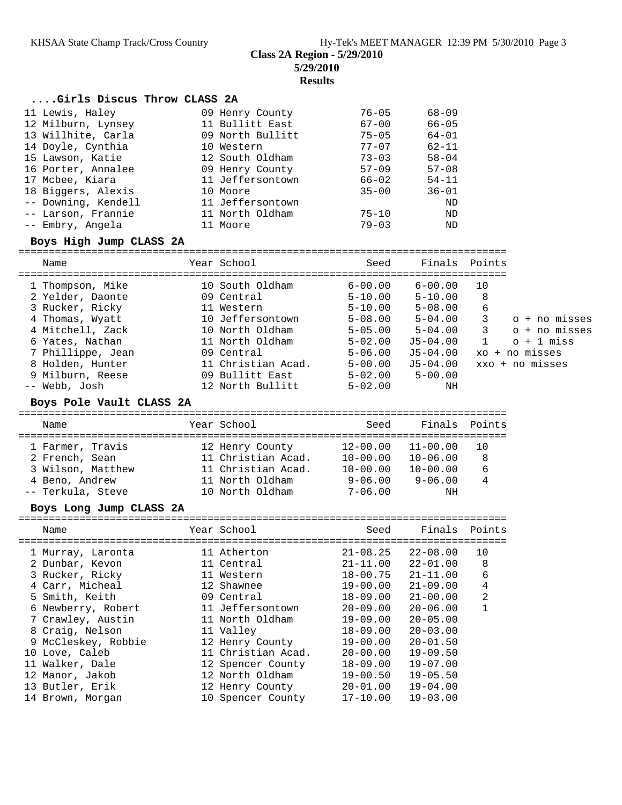# **Class 2A Region - 5/29/2010**

**5/29/2010**

**Results**

### **....Girls Discus Throw CLASS 2A**

| 11 Lewis, Haley     | 09 Henry County  | $76 - 05$ | $68 - 09$ |
|---------------------|------------------|-----------|-----------|
| 12 Milburn, Lynsey  | 11 Bullitt East  | $67 - 00$ | $66 - 05$ |
| 13 Willhite, Carla  | 09 North Bullitt | $75 - 05$ | $64 - 01$ |
| 14 Doyle, Cynthia   | 10 Western       | $77 - 07$ | $62 - 11$ |
| 15 Lawson, Katie    | 12 South Oldham  | $73 - 03$ | $58 - 04$ |
| 16 Porter, Annalee  | 09 Henry County  | $57 - 09$ | $57 - 08$ |
| 17 Mcbee, Kiara     | 11 Jeffersontown | $66 - 02$ | $54 - 11$ |
| 18 Biggers, Alexis  | 10 Moore         | $35 - 00$ | $36 - 01$ |
| -- Downing, Kendell | 11 Jeffersontown |           | ND        |
| -- Larson, Frannie  | 11 North Oldham  | $75 - 10$ | ND        |
| -- Embry, Angela    | 11 Moore         | $79 - 03$ | ND        |

### **Boys High Jump CLASS 2A**

| Name              |                  | Seed                                                                                                                                                                                            |              |              |                    |
|-------------------|------------------|-------------------------------------------------------------------------------------------------------------------------------------------------------------------------------------------------|--------------|--------------|--------------------|
| 1 Thompson, Mike  |                  | $6 - 00.00$                                                                                                                                                                                     | $6 - 00.00$  | 10           |                    |
|                   |                  |                                                                                                                                                                                                 |              |              |                    |
| 3 Rucker, Ricky   |                  | $5 - 10.00$                                                                                                                                                                                     | $5 - 08.00$  | 6            |                    |
| 4 Thomas, Wyatt   |                  | $5 - 08.00$                                                                                                                                                                                     | $5 - 04.00$  | 3            | o + no misses      |
| 4 Mitchell, Zack  |                  | $5 - 05.00$                                                                                                                                                                                     | $5 - 04.00$  | 3            | o + no misses      |
| 6 Yates, Nathan   |                  | $5 - 02.00$                                                                                                                                                                                     | $J5 - 04.00$ | $\mathbf{1}$ | $o + 1$ miss       |
| 7 Phillippe, Jean |                  | $5 - 06.00$                                                                                                                                                                                     | $J5 - 04.00$ |              | $xo + no$ misses   |
| 8 Holden, Hunter  |                  | $5 - 00.00$                                                                                                                                                                                     | $J5-04.00$   |              | xxo + no misses    |
| 9 Milburn, Reese  |                  | $5 - 02.00$                                                                                                                                                                                     | $5 - 00.00$  |              |                    |
| -- Webb, Josh     |                  | $5 - 02.00$                                                                                                                                                                                     | NH           |              |                    |
|                   | 2 Yelder, Daonte | Year School<br>10 South Oldham<br>09 Central<br>11 Western<br>10 Jeffersontown<br>10 North Oldham<br>11 North Oldham<br>09 Central<br>11 Christian Acad.<br>09 Bullitt East<br>12 North Bullitt | $5 - 10.00$  | $5 - 10.00$  | Finals Points<br>8 |

#### **Boys Pole Vault CLASS 2A**

| Name              | Year School        | Seed         | Finals Points |     |
|-------------------|--------------------|--------------|---------------|-----|
| 1 Farmer, Travis  | 12 Henry County    | $12 - 00.00$ | $11 - 00.00$  | 1 O |
| 2 French, Sean    | 11 Christian Acad. | $10 - 00.00$ | $10 - 06.00$  | 8   |
| 3 Wilson, Matthew | 11 Christian Acad. | $10 - 00.00$ | $10 - 00.00$  | 6   |
| 4 Beno, Andrew    | 11 North Oldham    | $9 - 06.00$  | $9 - 06.00$   | 4   |
| -- Terkula, Steve | 10 North Oldham    | $7 - 06.00$  | ΝH            |     |

#### **Boys Long Jump CLASS 2A**

| Name                | Year School        | Seed         | Finals       | Points         |
|---------------------|--------------------|--------------|--------------|----------------|
| 1 Murray, Laronta   | 11 Atherton        | $21 - 08.25$ | $22 - 08.00$ | 10             |
| 2 Dunbar, Kevon     | 11 Central         | $21 - 11.00$ | $22 - 01.00$ | 8              |
| 3 Rucker, Ricky     | 11 Western         | $18 - 00.75$ | $21 - 11.00$ | 6              |
| 4 Carr, Micheal     | 12 Shawnee         | $19 - 00.00$ | $21 - 09.00$ | 4              |
| 5 Smith, Keith      | 09 Central         | $18 - 09.00$ | $21 - 00.00$ | $\overline{2}$ |
| 6 Newberry, Robert  | 11 Jeffersontown   | $20 - 09.00$ | $20 - 06.00$ |                |
| 7 Crawley, Austin   | 11 North Oldham    | $19 - 09.00$ | $20 - 05.00$ |                |
| 8 Craig, Nelson     | 11 Valley          | $18 - 09.00$ | $20 - 03.00$ |                |
| 9 McCleskey, Robbie | 12 Henry County    | $19 - 00.00$ | $20 - 01.50$ |                |
| 10 Love, Caleb      | 11 Christian Acad. | $20 - 00.00$ | $19 - 09.50$ |                |
| 11 Walker, Dale     | 12 Spencer County  | $18 - 09.00$ | $19 - 07.00$ |                |
| 12 Manor, Jakob     | 12 North Oldham    | $19 - 00.50$ | $19 - 05.50$ |                |
| 13 Butler, Erik     | 12 Henry County    | $20 - 01.00$ | $19 - 04.00$ |                |
| 14 Brown, Morgan    | 10 Spencer County  | $17 - 10.00$ | $19 - 03.00$ |                |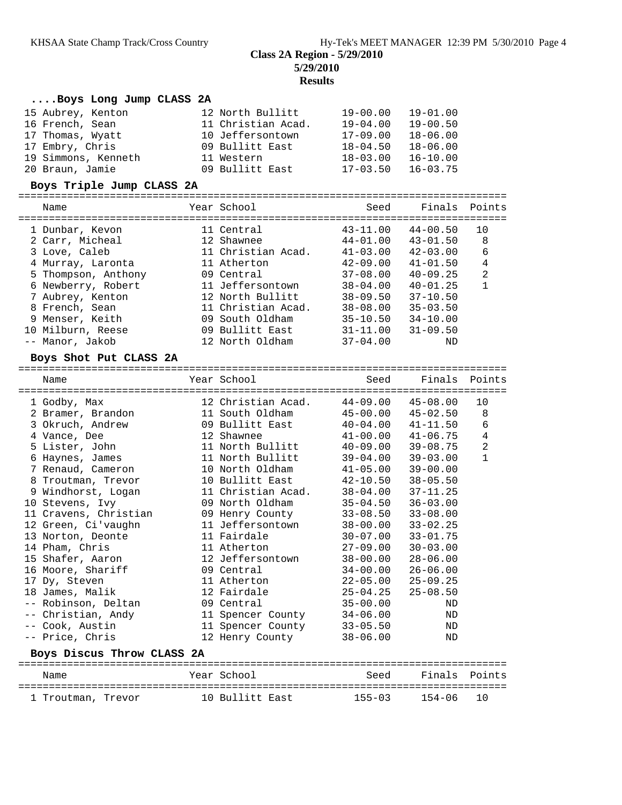# **Results**

| Boys Long Jump CLASS 2A                       |                    |              |                           |                                |
|-----------------------------------------------|--------------------|--------------|---------------------------|--------------------------------|
|                                               |                    |              |                           |                                |
| 15 Aubrey, Kenton                             | 12 North Bullitt   | 19-00.00     | $19 - 01.00$              |                                |
| 16 French, Sean                               | 11 Christian Acad. | 19-04.00     | $19 - 00.50$              |                                |
| 17 Thomas, Wyatt                              | 10 Jeffersontown   | $17 - 09.00$ | $18 - 06.00$              |                                |
| 17 Embry, Chris                               | 09 Bullitt East    | 18-04.50     | $18 - 06.00$              |                                |
| 19 Simmons, Kenneth                           | 11 Western         | 18-03.00     | $16 - 10.00$              |                                |
| 20 Braun, Jamie                               | 09 Bullitt East    | $17 - 03.50$ | $16 - 03.75$              |                                |
| Boys Triple Jump CLASS 2A                     |                    |              |                           |                                |
| Name                                          | Year School        | Seed         | Finals                    | Points                         |
|                                               |                    |              |                           |                                |
| 1 Dunbar, Kevon                               | 11 Central         | $43 - 11.00$ | $44 - 00.50$              | 10                             |
| 2 Carr, Micheal                               | 12 Shawnee         |              | $44 - 01.00$ $43 - 01.50$ | 8                              |
| 3 Love, Caleb                                 | 11 Christian Acad. | $41 - 03.00$ | $42 - 03.00$              | 6                              |
| 4 Murray, Laronta                             | 11 Atherton        | $42 - 09.00$ | $41 - 01.50$              | $\overline{4}$                 |
| 5 Thompson, Anthony                           | 09 Central         | 37-08.00     | $40 - 09.25$              | $\overline{a}$                 |
| 6 Newberry, Robert                            | 11 Jeffersontown   | $38 - 04.00$ | $40 - 01.25$              | $\mathbf{1}$                   |
| 7 Aubrey, Kenton                              | 12 North Bullitt   | $38 - 09.50$ | $37 - 10.50$              |                                |
| 8 French, Sean                                | 11 Christian Acad. | 38-08.00     | $35 - 03.50$              |                                |
| 9 Menser, Keith                               | 09 South Oldham    | $35 - 10.50$ | $34 - 10.00$              |                                |
| 10 Milburn, Reese                             | 09 Bullitt East    | $31 - 11.00$ | $31 - 09.50$              |                                |
| -- Manor, Jakob                               | 12 North Oldham    | $37 - 04.00$ | ΝD                        |                                |
| Boys Shot Put CLASS 2A                        |                    |              |                           |                                |
|                                               |                    |              |                           |                                |
|                                               |                    |              |                           |                                |
| Name                                          | Year School        | Seed         | Finals                    | Points                         |
|                                               |                    |              |                           |                                |
| 1 Godby, Max                                  | 12 Christian Acad. | $44 - 09.00$ | $45 - 08.00$              | 10                             |
| 2 Bramer, Brandon                             | 11 South Oldham    | $45 - 00.00$ | $45 - 02.50$              | 8                              |
| 3 Okruch, Andrew                              | 09 Bullitt East    | $40 - 04.00$ | $41 - 11.50$              | 6                              |
| 4 Vance, Dee                                  | 12 Shawnee         | $41 - 00.00$ | $41 - 06.75$              | $\overline{4}$                 |
| 5 Lister, John                                | 11 North Bullitt   | $40 - 09.00$ | $39 - 08.75$              | $\overline{a}$<br>$\mathbf{1}$ |
| 6 Haynes, James                               | 11 North Bullitt   | $39 - 04.00$ | $39 - 03.00$              |                                |
| 7 Renaud, Cameron                             | 10 North Oldham    | $41 - 05.00$ | $39 - 00.00$              |                                |
| 8 Troutman, Trevor                            | 10 Bullitt East    | $42 - 10.50$ | $38 - 05.50$              |                                |
| 9 Windhorst, Logan                            | 11 Christian Acad. | $38 - 04.00$ | $37 - 11.25$              |                                |
| 10 Stevens, Ivy                               | 09 North Oldham    | $35 - 04.50$ | $36 - 03.00$              |                                |
| 11 Cravens, Christian                         | 09 Henry County    | $33 - 08.50$ | $33 - 08.00$              |                                |
| 12 Green, Ci'vaughn                           | 11 Jeffersontown   | $38 - 00.00$ | $33 - 02.25$              |                                |
| 13 Norton, Deonte                             | 11 Fairdale        | $30 - 07.00$ | $33 - 01.75$              |                                |
| 14 Pham, Chris                                | 11 Atherton        | 27-09.00     | $30 - 03.00$              |                                |
| 15 Shafer, Aaron                              | 12 Jeffersontown   | $38 - 00.00$ | $28 - 06.00$              |                                |
| 16 Moore, Shariff                             | 09 Central         | $34 - 00.00$ | $26 - 06.00$              |                                |
| 17 Dy, Steven                                 | 11 Atherton        | $22 - 05.00$ | $25 - 09.25$              |                                |
| 18 James, Malik                               | 12 Fairdale        | $25 - 04.25$ | $25 - 08.50$              |                                |
| -- Robinson, Deltan                           | 09 Central         | $35 - 00.00$ | ΝD                        |                                |
| -- Christian, Andy                            | 11 Spencer County  | $34 - 06.00$ | ΝD                        |                                |
| -- Cook, Austin                               | 11 Spencer County  | $33 - 05.50$ | ND                        |                                |
| -- Price, Chris<br>Boys Discus Throw CLASS 2A | 12 Henry County    | $38 - 06.00$ | ND                        |                                |

| Name               | Year School     | heed       | Finals Points |  |
|--------------------|-----------------|------------|---------------|--|
| 1 Troutman, Trevor | 10 Bullitt East | $155 - 03$ | 154-06 10     |  |